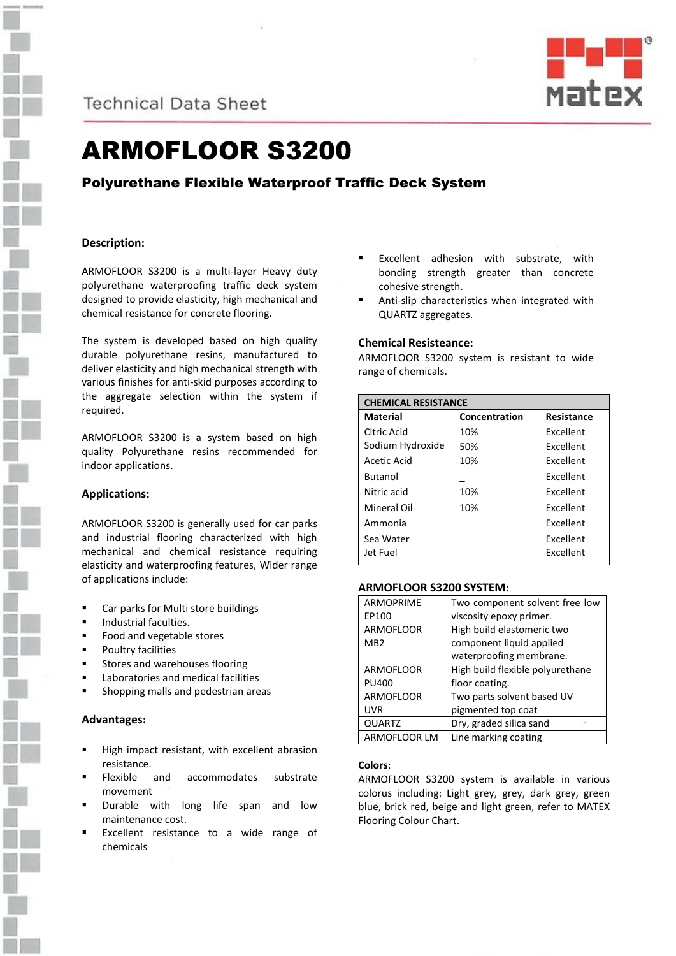

**Technical Data Sheet** 



# ARMOFLOOR S3200

## Polyurethane Flexible Waterproof Traffic Deck System

## **Description:**

ARMOFLOOR S3200 is a multi-layer Heavy duty polyurethane waterproofing traffic deck system designed to provide elasticity, high mechanical and chemical resistance for concrete flooring.

The system is developed based on high quality durable polyurethane resins, manufactured to deliver elasticity and high mechanical strength with various finishes for anti-skid purposes according to the aggregate selection within the system if required.

ARMOFLOOR S3200 is a system based on high quality Polyurethane resins recommended for indoor applications.

## **Applications:**

ARMOFLOOR S3200 is generally used for car parks and industrial flooring characterized with high mechanical and chemical resistance requiring elasticity and waterproofing features, Wider range of applications include:

- Car parks for Multi store buildings
- Industrial faculties.
- Food and vegetable stores
- Poultry facilities
- Stores and warehouses flooring
- Laboratories and medical facilities
- Shopping malls and pedestrian areas

## **Advantages:**

- High impact resistant, with excellent abrasion resistance.
- Flexible and accommodates substrate movement
- Durable with long life span and low maintenance cost.
- Excellent resistance to a wide range of chemicals
- Excellent adhesion with substrate, with bonding strength greater than concrete cohesive strength.
- Anti-slip characteristics when integrated with QUARTZ aggregates.

## **Chemical Resisteance:**

ARMOFLOOR S3200 system is resistant to wide range of chemicals.

| <b>CHEMICAL RESISTANCE</b> |               |                  |
|----------------------------|---------------|------------------|
| Material                   | Concentration | Resistance       |
| Citric Acid                | 10%           | <b>Fxcellent</b> |
| Sodium Hydroxide           | 50%           | <b>Excellent</b> |
| Acetic Acid                | 10%           | <b>Excellent</b> |
| <b>Butanol</b>             |               | Excellent        |
| Nitric acid                | 10%           | <b>Excellent</b> |
| Mineral Oil                | 10%           | <b>Fxcellent</b> |
| Ammonia                    |               | Excellent        |
| Sea Water                  |               | <b>Fxcellent</b> |
| Jet Fuel                   |               | Excellent        |

## **ARMOFLOOR S3200 SYSTEM:**

| <b>ARMOPRIME</b>    | Two component solvent free low   |
|---------------------|----------------------------------|
| EP100               | viscosity epoxy primer.          |
| <b>ARMOFLOOR</b>    | High build elastomeric two       |
| MB <sub>2</sub>     | component liquid applied         |
|                     | waterproofing membrane.          |
| <b>ARMOFLOOR</b>    | High build flexible polyurethane |
| <b>PU400</b>        | floor coating.                   |
| <b>ARMOFLOOR</b>    | Two parts solvent based UV       |
| <b>UVR</b>          | pigmented top coat               |
| <b>QUARTZ</b>       | Dry, graded silica sand          |
| <b>ARMOFLOOR LM</b> | Line marking coating             |

## **Colors**:

ARMOFLOOR S3200 system is available in various colorus including: Light grey, grey, dark grey, green blue, brick red, beige and light green, refer to MATEX Flooring Colour Chart.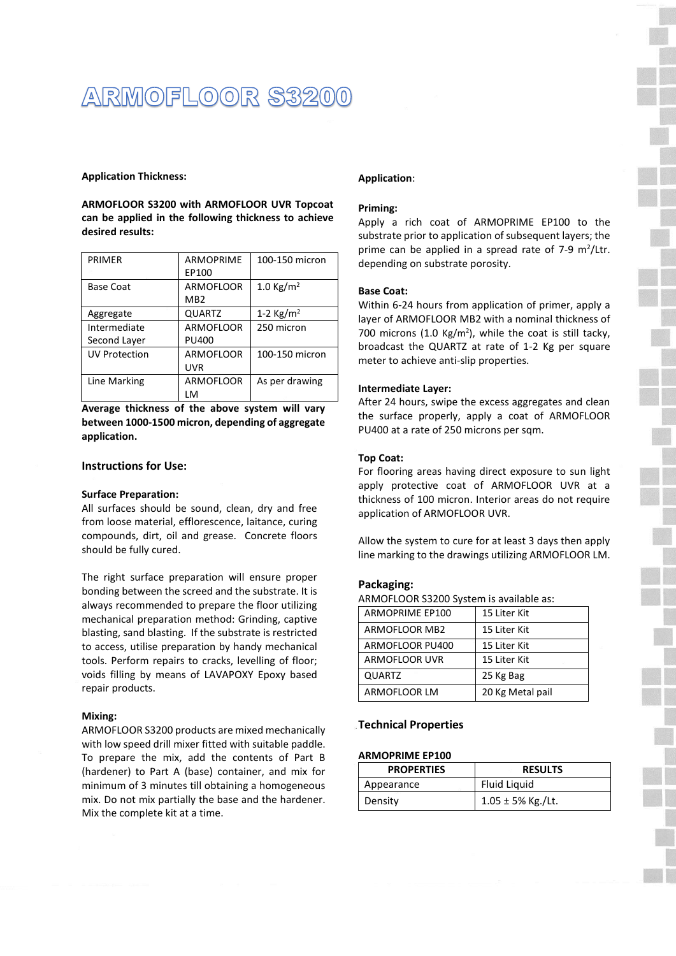## ARMOFLOOR \$3200

#### **Application Thickness:**

**ARMOFLOOR S3200 with ARMOFLOOR UVR Topcoat can be applied in the following thickness to achieve desired results:**

| <b>PRIMFR</b>        | <b>ARMOPRIME</b> | 100-150 micron      |
|----------------------|------------------|---------------------|
|                      | EP100            |                     |
| Base Coat            | <b>ARMOFLOOR</b> | 1.0 Kg/ $m2$        |
|                      | MB <sub>2</sub>  |                     |
| Aggregate            | <b>QUARTZ</b>    | 1-2 $\text{Kg/m}^2$ |
| Intermediate         | <b>ARMOFLOOR</b> | 250 micron          |
| Second Layer         | <b>PU400</b>     |                     |
| <b>UV Protection</b> | <b>ARMOFLOOR</b> | 100-150 micron      |
|                      | UVR              |                     |
| Line Marking         | <b>ARMOFLOOR</b> | As per drawing      |
|                      | LM               |                     |

**Average thickness of the above system will vary between 1000-1500 micron, depending of aggregate application.**

## **Instructions for Use:**

#### **Surface Preparation:**

All surfaces should be sound, clean, dry and free from loose material, efflorescence, laitance, curing compounds, dirt, oil and grease. Concrete floors should be fully cured.

The right surface preparation will ensure proper bonding between the screed and the substrate. It is always recommended to prepare the floor utilizing mechanical preparation method: Grinding, captive blasting, sand blasting. If the substrate is restricted to access, utilise preparation by handy mechanical tools. Perform repairs to cracks, levelling of floor; voids filling by means of LAVAPOXY Epoxy based repair products.

## **Mixing:**

ARMOFLOOR S3200 products are mixed mechanically with low speed drill mixer fitted with suitable paddle. To prepare the mix, add the contents of Part B (hardener) to Part A (base) container, and mix for minimum of 3 minutes till obtaining a homogeneous mix. Do not mix partially the base and the hardener. Mix the complete kit at a time.

## **Application**:

#### **Priming:**

Apply a rich coat of ARMOPRIME EP100 to the substrate prior to application of subsequent layers; the prime can be applied in a spread rate of  $7-9$  m<sup>2</sup>/Ltr. depending on substrate porosity.

## **Base Coat:**

Within 6-24 hours from application of primer, apply a layer of ARMOFLOOR MB2 with a nominal thickness of 700 microns (1.0 Kg/m<sup>2</sup>), while the coat is still tacky, broadcast the QUARTZ at rate of 1-2 Kg per square meter to achieve anti-slip properties.

#### **Intermediate Layer:**

After 24 hours, swipe the excess aggregates and clean the surface properly, apply a coat of ARMOFLOOR PU400 at a rate of 250 microns per sqm.

#### **Top Coat:**

For flooring areas having direct exposure to sun light apply protective coat of ARMOFLOOR UVR at a thickness of 100 micron. Interior areas do not require application of ARMOFLOOR UVR.

Allow the system to cure for at least 3 days then apply line marking to the drawings utilizing ARMOFLOOR LM.

#### **Packaging:**

ARMOFLOOR S3200 System is available as:

| <b>ARMOPRIME EP100</b> | 15 Liter Kit     |
|------------------------|------------------|
| ARMOFLOOR MB2          | 15 Liter Kit     |
| ARMOFLOOR PU400        | 15 Liter Kit     |
| ARMOFLOOR UVR          | 15 Liter Kit     |
| <b>QUARTZ</b>          | 25 Kg Bag        |
| ARMOFLOOR LM           | 20 Kg Metal pail |

## **Technical Properties**

## **ARMOPRIME EP100**

| <b>PROPERTIES</b> | <b>RESULTS</b>         |
|-------------------|------------------------|
| Appearance        | Fluid Liguid           |
| Density           | $1.05 \pm 5\%$ Kg./Lt. |